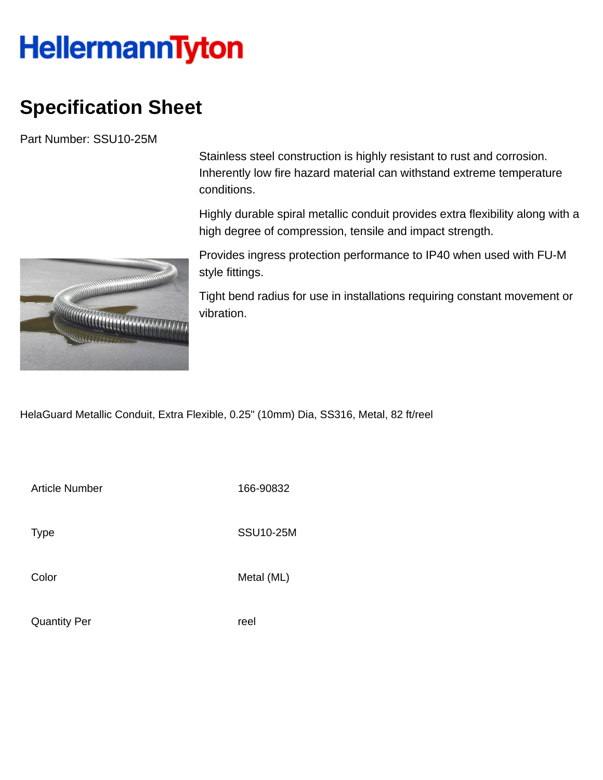## **HellermannTyton**

## **Specification Sheet**

Part Number: SSU10-25M



Stainless steel construction is highly resistant to rust and corrosion. Inherently low fire hazard material can withstand extreme temperature conditions.

Highly durable spiral metallic conduit provides extra flexibility along with a high degree of compression, tensile and impact strength.

Provides ingress protection performance to IP40 when used with FU-M style fittings.

Tight bend radius for use in installations requiring constant movement or vibration.

HelaGuard Metallic Conduit, Extra Flexible, 0.25" (10mm) Dia, SS316, Metal, 82 ft/reel

Article Number 166-90832

Type SSU10-25M

Color Metal (ML)

Quantity Per reel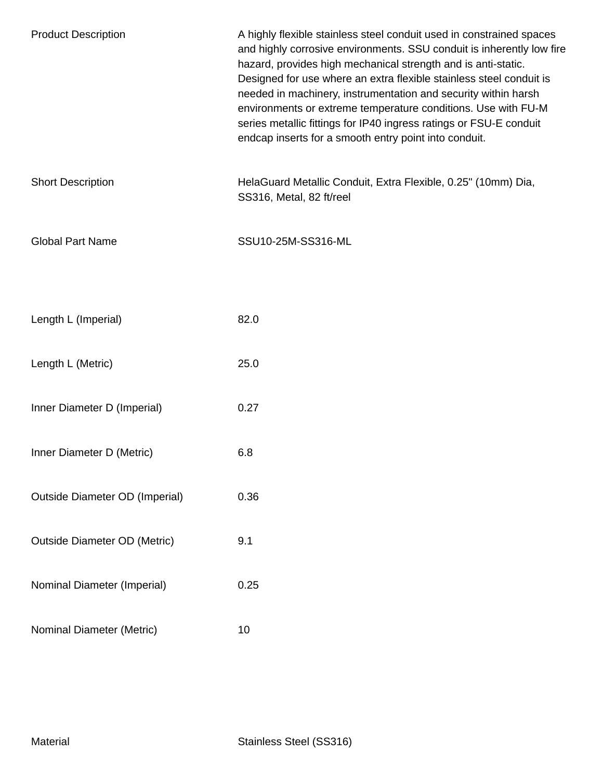| <b>Product Description</b>            | A highly flexible stainless steel conduit used in constrained spaces<br>and highly corrosive environments. SSU conduit is inherently low fire<br>hazard, provides high mechanical strength and is anti-static.<br>Designed for use where an extra flexible stainless steel conduit is<br>needed in machinery, instrumentation and security within harsh<br>environments or extreme temperature conditions. Use with FU-M<br>series metallic fittings for IP40 ingress ratings or FSU-E conduit<br>endcap inserts for a smooth entry point into conduit. |
|---------------------------------------|---------------------------------------------------------------------------------------------------------------------------------------------------------------------------------------------------------------------------------------------------------------------------------------------------------------------------------------------------------------------------------------------------------------------------------------------------------------------------------------------------------------------------------------------------------|
| <b>Short Description</b>              | HelaGuard Metallic Conduit, Extra Flexible, 0.25" (10mm) Dia,<br>SS316, Metal, 82 ft/reel                                                                                                                                                                                                                                                                                                                                                                                                                                                               |
| <b>Global Part Name</b>               | SSU10-25M-SS316-ML                                                                                                                                                                                                                                                                                                                                                                                                                                                                                                                                      |
|                                       |                                                                                                                                                                                                                                                                                                                                                                                                                                                                                                                                                         |
| Length L (Imperial)                   | 82.0                                                                                                                                                                                                                                                                                                                                                                                                                                                                                                                                                    |
| Length L (Metric)                     | 25.0                                                                                                                                                                                                                                                                                                                                                                                                                                                                                                                                                    |
| Inner Diameter D (Imperial)           | 0.27                                                                                                                                                                                                                                                                                                                                                                                                                                                                                                                                                    |
| Inner Diameter D (Metric)             | 6.8                                                                                                                                                                                                                                                                                                                                                                                                                                                                                                                                                     |
| <b>Outside Diameter OD (Imperial)</b> | 0.36                                                                                                                                                                                                                                                                                                                                                                                                                                                                                                                                                    |
| <b>Outside Diameter OD (Metric)</b>   | 9.1                                                                                                                                                                                                                                                                                                                                                                                                                                                                                                                                                     |
| Nominal Diameter (Imperial)           | 0.25                                                                                                                                                                                                                                                                                                                                                                                                                                                                                                                                                    |
| Nominal Diameter (Metric)             | 10                                                                                                                                                                                                                                                                                                                                                                                                                                                                                                                                                      |